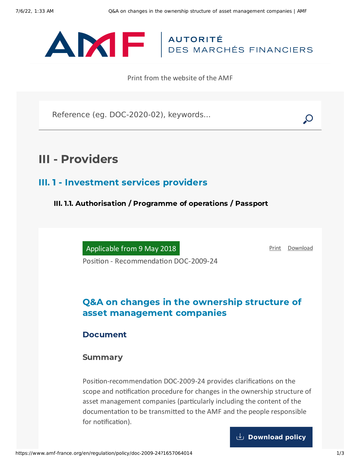

Print from the website of the AMF

Reference (eg. DOC-2020-02), keywords...

# III - Providers

### III. 1 - Investment services providers

III. 1.1. Authorisation / Programme of operations / Passport

Applicable from 9 May 2018

[Print](javascript:window.print()) [Download](https://www.amf-france.org/sites/default/files/pdf/62869/en/Q%26A_on_changes_in_the_ownership_structure_of_asset_management_companies.pdf?1657064015)

Position - Recommendation DOC-2009-24

## Q&A on changes in the ownership structure of asset management companies

#### **Document**

#### Summary

Position-recommendation DOC-2009-24 provides clarifications on the scope and notification procedure for changes in the ownership structure of asset management companies (particularly including the content of the documentation to be transmitted to the AMF and the people responsible for notification).

**[Download](https://www.amf-france.org/sites/default/files/doctrine/en/Position/DOC-2009-24/4.1/Q%26A%20on%20changes%20in%20the%20ownership%20structure%20of%20asset%20management%20companies.pdf) policy**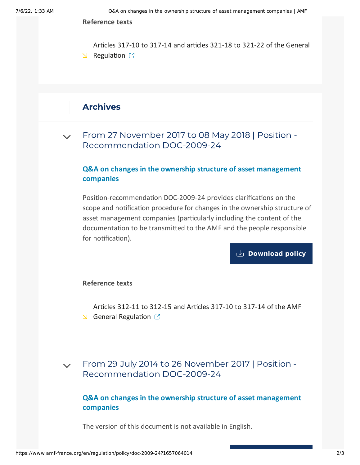**Reference texts**

Articles 317-10 to 317-14 and articles 321-18 to 321-22 of the General  $\triangle$  [Regulation](https://www.amf-france.org/reglement/en_US/RG-en-vigueur)  $\mathbb{C}^n$ 

### Archives

 $\sqrt{ }$  From 27 November 2017 to 08 May 2018 | Position -[Recommendation](#page-1-0) DOC-2009-24

#### **Q&A on changes in the ownership structure of asset management companies**

<span id="page-1-0"></span>Position-recommendation DOC-2009-24 provides clarifications on the scope and notification procedure for changes in the ownership structure of asset management companies (particularly including the content of the documentation to be transmitted to the AMF and the people responsible for notification).

**[Download](https://www.amf-france.org/sites/default/files/doctrine/en/Position/DOC-2009-24/3.0/Q%26A%20on%20changes%20in%20the%20ownership%20structure%20of%20asset%20management%20companies.pdf) policy**

**Reference texts**

Articles 312-11 to 312-15 and Articles 317-10 to 317-14 of the AMF  $\triangle$  General [Regulation](https://www.amf-france.org/reglement/en_US/RG-en-vigueur)  $\heartsuit$ 

From 29 July 2014 to 26 November 2017 | Position - [Recommendation](#page-1-1) DOC-2009-24  $\vee$ 

#### **Q&A on changes in the ownership structure of asset management companies**

<span id="page-1-1"></span>The version of this document is not available in English.